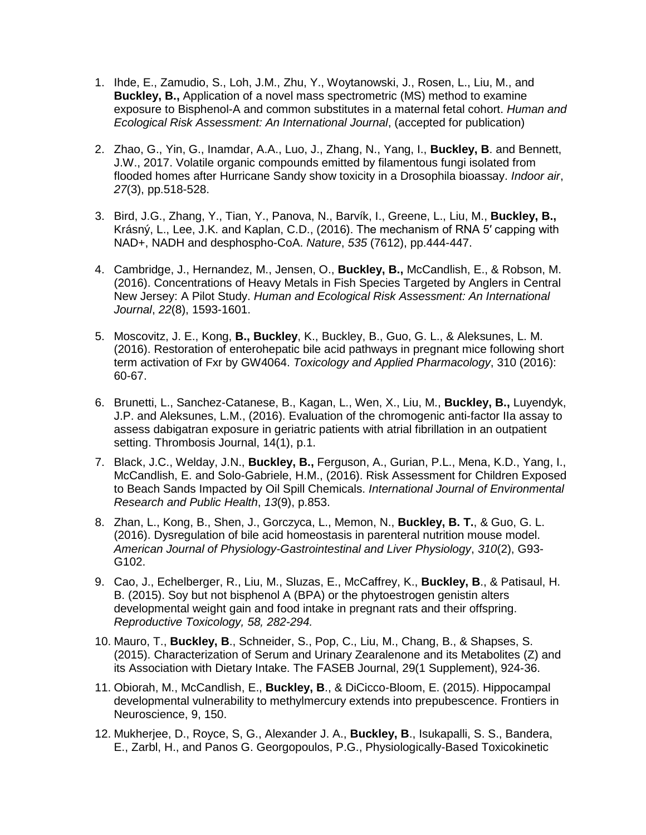- 1. Ihde, E., Zamudio, S., Loh, J.M., Zhu, Y., Woytanowski, J., Rosen, L., Liu, M., and **Buckley, B.,** Application of a novel mass spectrometric (MS) method to examine exposure to Bisphenol-A and common substitutes in a maternal fetal cohort. *Human and Ecological Risk Assessment: An International Journal*, (accepted for publication)
- 2. Zhao, G., Yin, G., Inamdar, A.A., Luo, J., Zhang, N., Yang, I., **Buckley, B**. and Bennett, J.W., 2017. Volatile organic compounds emitted by filamentous fungi isolated from flooded homes after Hurricane Sandy show toxicity in a Drosophila bioassay. *Indoor air*, *27*(3), pp.518-528.
- 3. Bird, J.G., Zhang, Y., Tian, Y., Panova, N., Barvík, I., Greene, L., Liu, M., **Buckley, B.,** Krásný, L., Lee, J.K. and Kaplan, C.D., (2016). The mechanism of RNA 5′ capping with NAD+, NADH and desphospho-CoA. *Nature*, *535* (7612), pp.444-447.
- 4. Cambridge, J., Hernandez, M., Jensen, O., **Buckley, B.,** McCandlish, E., & Robson, M. (2016). Concentrations of Heavy Metals in Fish Species Targeted by Anglers in Central New Jersey: A Pilot Study. *Human and Ecological Risk Assessment: An International Journal*, *22*(8), 1593-1601.
- 5. Moscovitz, J. E., Kong, **B., Buckley**, K., Buckley, B., Guo, G. L., & Aleksunes, L. M. (2016). Restoration of enterohepatic bile acid pathways in pregnant mice following short term activation of Fxr by GW4064. *Toxicology and Applied Pharmacology*, 310 (2016): 60-67.
- 6. Brunetti, L., Sanchez-Catanese, B., Kagan, L., Wen, X., Liu, M., **Buckley, B.,** Luyendyk, J.P. and Aleksunes, L.M., (2016). Evaluation of the chromogenic anti-factor IIa assay to assess dabigatran exposure in geriatric patients with atrial fibrillation in an outpatient setting. Thrombosis Journal, 14(1), p.1.
- 7. Black, J.C., Welday, J.N., **Buckley, B.,** Ferguson, A., Gurian, P.L., Mena, K.D., Yang, I., McCandlish, E. and Solo-Gabriele, H.M., (2016). Risk Assessment for Children Exposed to Beach Sands Impacted by Oil Spill Chemicals. *International Journal of Environmental Research and Public Health*, *13*(9), p.853.
- 8. Zhan, L., Kong, B., Shen, J., Gorczyca, L., Memon, N., **Buckley, B. T.**, & Guo, G. L. (2016). Dysregulation of bile acid homeostasis in parenteral nutrition mouse model. *American Journal of Physiology-Gastrointestinal and Liver Physiology*, *310*(2), G93- G102.
- 9. Cao, J., Echelberger, R., Liu, M., Sluzas, E., McCaffrey, K., **Buckley, B**., & Patisaul, H. B. (2015). Soy but not bisphenol A (BPA) or the phytoestrogen genistin alters developmental weight gain and food intake in pregnant rats and their offspring. *Reproductive Toxicology, 58, 282-294.*
- 10. Mauro, T., **Buckley, B**., Schneider, S., Pop, C., Liu, M., Chang, B., & Shapses, S. (2015). Characterization of Serum and Urinary Zearalenone and its Metabolites (Z) and its Association with Dietary Intake. The FASEB Journal, 29(1 Supplement), 924-36.
- 11. Obiorah, M., McCandlish, E., **Buckley, B**., & DiCicco-Bloom, E. (2015). Hippocampal developmental vulnerability to methylmercury extends into prepubescence. Frontiers in Neuroscience, 9, 150.
- 12. Mukherjee, D., Royce, S, G., Alexander J. A., **Buckley, B**., Isukapalli, S. S., Bandera, E., Zarbl, H., and Panos G. Georgopoulos, P.G., Physiologically-Based Toxicokinetic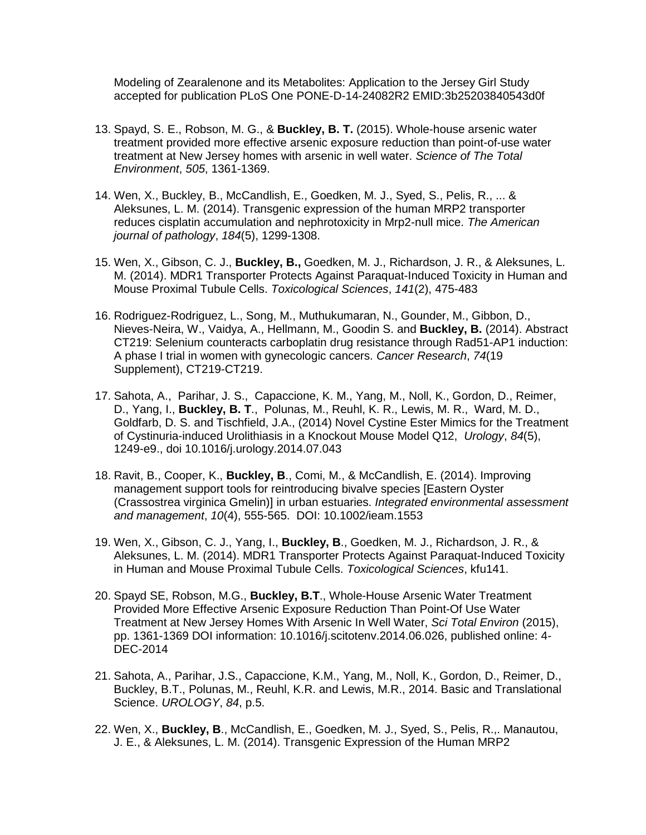Modeling of Zearalenone and its Metabolites: Application to the Jersey Girl Study accepted for publication PLoS One PONE-D-14-24082R2 EMID:3b25203840543d0f

- 13. Spayd, S. E., Robson, M. G., & **Buckley, B. T.** (2015). Whole-house arsenic water treatment provided more effective arsenic exposure reduction than point-of-use water treatment at New Jersey homes with arsenic in well water. *Science of The Total Environment*, *505*, 1361-1369.
- 14. Wen, X., Buckley, B., McCandlish, E., Goedken, M. J., Syed, S., Pelis, R., ... & Aleksunes, L. M. (2014). Transgenic expression of the human MRP2 transporter reduces cisplatin accumulation and nephrotoxicity in Mrp2-null mice. *The American journal of pathology*, *184*(5), 1299-1308.
- 15. Wen, X., Gibson, C. J., **Buckley, B.,** Goedken, M. J., Richardson, J. R., & Aleksunes, L. M. (2014). MDR1 Transporter Protects Against Paraquat-Induced Toxicity in Human and Mouse Proximal Tubule Cells. *Toxicological Sciences*, *141*(2), 475-483
- 16. Rodriguez-Rodriguez, L., Song, M., Muthukumaran, N., Gounder, M., Gibbon, D., Nieves-Neira, W., Vaidya, A., Hellmann, M., Goodin S. and **Buckley, B.** (2014). Abstract CT219: Selenium counteracts carboplatin drug resistance through Rad51-AP1 induction: A phase I trial in women with gynecologic cancers. *Cancer Research*, *74*(19 Supplement), CT219-CT219.
- 17. Sahota, A., Parihar, J. S., Capaccione, K. M., Yang, M., Noll, K., Gordon, D., Reimer, D., Yang, I., **Buckley, B. T**., Polunas, M., Reuhl, K. R., Lewis, M. R., Ward, M. D., Goldfarb, D. S. and Tischfield, J.A., (2014) Novel Cystine Ester Mimics for the Treatment of Cystinuria-induced Urolithiasis in a Knockout Mouse Model Q12, *Urology*, *84*(5), 1249-e9., doi 10.1016/j.urology.2014.07.043
- 18. Ravit, B., Cooper, K., **Buckley, B**., Comi, M., & McCandlish, E. (2014). Improving management support tools for reintroducing bivalve species [Eastern Oyster (Crassostrea virginica Gmelin)] in urban estuaries. *Integrated environmental assessment and management*, *10*(4), 555-565. DOI: 10.1002/ieam.1553
- 19. Wen, X., Gibson, C. J., Yang, I., **Buckley, B**., Goedken, M. J., Richardson, J. R., & Aleksunes, L. M. (2014). MDR1 Transporter Protects Against Paraquat-Induced Toxicity in Human and Mouse Proximal Tubule Cells. *Toxicological Sciences*, kfu141.
- 20. Spayd SE, Robson, M.G., **Buckley, B.T**., Whole-House Arsenic Water Treatment Provided More Effective Arsenic Exposure Reduction Than Point-Of Use Water Treatment at New Jersey Homes With Arsenic In Well Water, *Sci Total Environ* (2015), pp. 1361-1369 DOI information: 10.1016/j.scitotenv.2014.06.026, published online: 4- DEC-2014
- 21. Sahota, A., Parihar, J.S., Capaccione, K.M., Yang, M., Noll, K., Gordon, D., Reimer, D., Buckley, B.T., Polunas, M., Reuhl, K.R. and Lewis, M.R., 2014. Basic and Translational Science. *UROLOGY*, *84*, p.5.
- 22. Wen, X., **Buckley, B**., McCandlish, E., Goedken, M. J., Syed, S., Pelis, R.,. Manautou, J. E., & Aleksunes, L. M. (2014). Transgenic Expression of the Human MRP2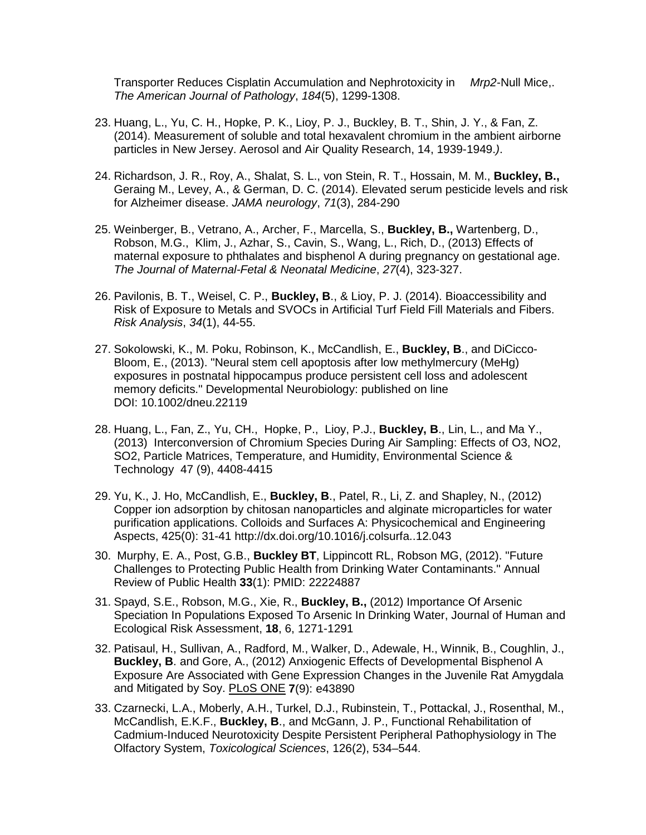Transporter Reduces Cisplatin Accumulation and Nephrotoxicity in *Mrp2*-Null Mice,. *The American Journal of Pathology*, *184*(5), 1299-1308.

- 23. Huang, L., Yu, C. H., Hopke, P. K., Lioy, P. J., Buckley, B. T., Shin, J. Y., & Fan, Z. (2014). Measurement of soluble and total hexavalent chromium in the ambient airborne particles in New Jersey. Aerosol and Air Quality Research, 14, 1939-1949.*)*.
- 24. Richardson, J. R., Roy, A., Shalat, S. L., von Stein, R. T., Hossain, M. M., **Buckley, B.,** Geraing M., Levey, A., & German, D. C. (2014). Elevated serum pesticide levels and risk for Alzheimer disease. *JAMA neurology*, *71*(3), 284-290
- 25. Weinberger, B., Vetrano, A., Archer, F., Marcella, S., **Buckley, B.,** Wartenberg, D., Robson, M.G., Klim, J., Azhar, S., Cavin, S., Wang, L., Rich, D., (2013) Effects of maternal exposure to phthalates and bisphenol A during pregnancy on gestational age. *The Journal of Maternal-Fetal & Neonatal Medicine*, *27*(4), 323-327.
- 26. Pavilonis, B. T., Weisel, C. P., **Buckley, B**., & Lioy, P. J. (2014). Bioaccessibility and Risk of Exposure to Metals and SVOCs in Artificial Turf Field Fill Materials and Fibers. *Risk Analysis*, *34*(1), 44-55.
- 27. Sokolowski, K., M. Poku, Robinson, K., McCandlish, E., **Buckley, B**., and DiCicco-Bloom, E., (2013). "Neural stem cell apoptosis after low methylmercury (MeHg) exposures in postnatal hippocampus produce persistent cell loss and adolescent memory deficits." Developmental Neurobiology: published on line DOI: 10.1002/dneu.22119
- 28. Huang, L., Fan, Z., Yu, CH., Hopke, P., Lioy, P.J., **Buckley, B**., Lin, L., and Ma Y., (2013) Interconversion of Chromium Species During Air Sampling: Effects of O3, NO2, SO2, Particle Matrices, Temperature, and Humidity, Environmental Science & Technology 47 (9), 4408-4415
- 29. Yu, K., J. Ho, McCandlish, E., **Buckley, B**., Patel, R., Li, Z. and Shapley, N., (2012) Copper ion adsorption by chitosan nanoparticles and alginate microparticles for water purification applications. Colloids and Surfaces A: Physicochemical and Engineering Aspects, 425(0): 31-41 http://dx.doi.org/10.1016/j.colsurfa..12.043
- 30. Murphy, E. A., Post, G.B., **Buckley BT**, Lippincott RL, Robson MG, (2012). "Future Challenges to Protecting Public Health from Drinking Water Contaminants." Annual Review of Public Health **33**(1): PMID: 22224887
- 31. Spayd, S.E., Robson, M.G., Xie, R., **Buckley, B.,** (2012) Importance Of Arsenic Speciation In Populations Exposed To Arsenic In Drinking Water, Journal of Human and Ecological Risk Assessment, **18**, 6, 1271-1291
- 32. Patisaul, H., Sullivan, A., Radford, M., Walker, D., Adewale, H., Winnik, B., Coughlin, J., **Buckley, B**. and Gore, A., (2012) Anxiogenic Effects of Developmental Bisphenol A Exposure Are Associated with Gene Expression Changes in the Juvenile Rat Amygdala and Mitigated by Soy. PLoS ONE **7**(9): e43890
- 33. Czarnecki, L.A., Moberly, A.H., Turkel, D.J., Rubinstein, T., Pottackal, J., Rosenthal, M., McCandlish, E.K.F., **Buckley, B**., and McGann, J. P., Functional Rehabilitation of Cadmium-Induced Neurotoxicity Despite Persistent Peripheral Pathophysiology in The Olfactory System, *Toxicological Sciences*, 126(2), 534–544.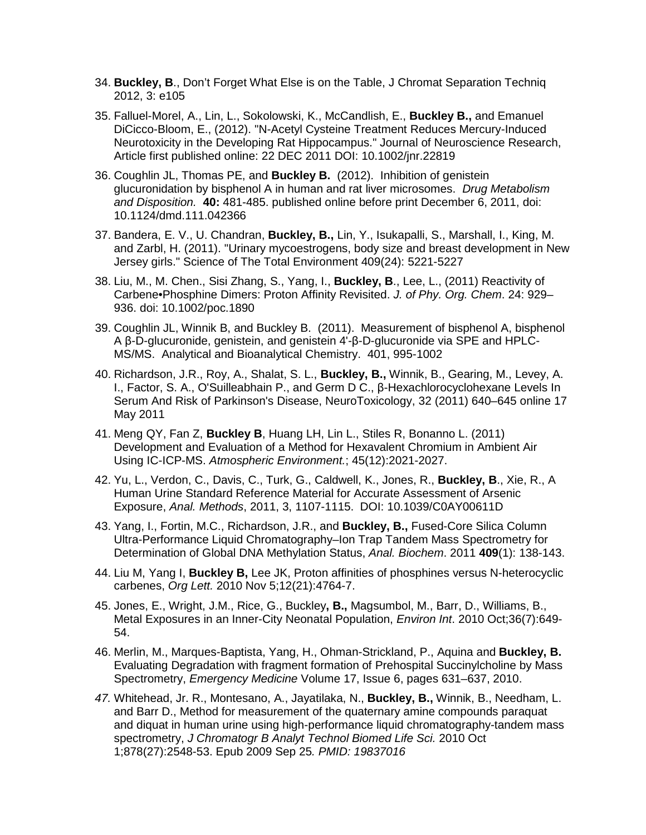- 34. **Buckley, B**., Don't Forget What Else is on the Table, J Chromat Separation Techniq 2012, 3: e105
- 35. Falluel-Morel, A., Lin, L., Sokolowski, K., McCandlish, E., **Buckley B.,** and Emanuel DiCicco-Bloom, E., (2012). "N-Acetyl Cysteine Treatment Reduces Mercury-Induced Neurotoxicity in the Developing Rat Hippocampus." Journal of Neuroscience Research, Article first published online: 22 DEC 2011 DOI: 10.1002/jnr.22819
- 36. Coughlin JL, Thomas PE, and **Buckley B.** (2012). Inhibition of genistein glucuronidation by bisphenol A in human and rat liver microsomes. *Drug Metabolism and Disposition.* **40:** 481-485. published online before print December 6, 2011, doi: 10.1124/dmd.111.042366
- 37. Bandera, E. V., U. Chandran, **Buckley, B.,** Lin, Y., Isukapalli, S., Marshall, I., King, M. and Zarbl, H. (2011). "Urinary mycoestrogens, body size and breast development in New Jersey girls." Science of The Total Environment 409(24): 5221-5227
- 38. Liu, M., M. Chen., Sisi Zhang, S., Yang, I., **Buckley, B**., Lee, L., (2011) Reactivity of Carbene•Phosphine Dimers: Proton Affinity Revisited. *J. of Phy. Org. Chem*. 24: 929– 936. doi: 10.1002/poc.1890
- 39. Coughlin JL, Winnik B, and Buckley B. (2011). Measurement of bisphenol A, bisphenol A β-D-glucuronide, genistein, and genistein 4'-β-D-glucuronide via SPE and HPLC-MS/MS. Analytical and Bioanalytical Chemistry. 401, 995-1002
- 40. Richardson, J.R., Roy, A., Shalat, S. L., **Buckley, B.,** Winnik, B., Gearing, M., Levey, A. I., Factor, S. A., O'Suilleabhain P., and Germ D C., β-Hexachlorocyclohexane Levels In Serum And Risk of Parkinson's Disease, NeuroToxicology, 32 (2011) 640–645 online 17 May 2011
- 41. Meng QY, Fan Z, **Buckley B**, Huang LH, Lin L., Stiles R, Bonanno L. (2011) Development and Evaluation of a Method for Hexavalent Chromium in Ambient Air Using IC-ICP-MS. *Atmospheric Environment.*; 45(12):2021-2027.
- 42. Yu, L., Verdon, C., Davis, C., Turk, G., Caldwell, K., Jones, R., **Buckley, B**., Xie, R., A Human Urine Standard Reference Material for Accurate Assessment of Arsenic Exposure, *Anal. Methods*, 2011, 3, 1107-1115. DOI: 10.1039/C0AY00611D
- 43. Yang, I., Fortin, M.C., Richardson, J.R., and **Buckley, B.,** Fused-Core Silica Column Ultra-Performance Liquid Chromatography–Ion Trap Tandem Mass Spectrometry for Determination of Global DNA Methylation Status, *Anal. Biochem*. 2011 **409**(1): 138-143.
- 44. Liu M, Yang I, **Buckley B,** Lee JK, Proton affinities of phosphines versus N-heterocyclic carbenes, *Org Lett.* 2010 Nov 5;12(21):4764-7.
- 45. Jones, E., Wright, J.M., Rice, G., Buckley**, B.,** Magsumbol, M., Barr, D., Williams, B., Metal Exposures in an Inner-City Neonatal Population, *Environ Int*. 2010 Oct;36(7):649- 54.
- 46. Merlin, M., Marques-Baptista, Yang, H., Ohman-Strickland, P., Aquina and **Buckley, B.** Evaluating Degradation with fragment formation of Prehospital Succinylcholine by Mass Spectrometry, *Emergency Medicine* Volume 17, Issue 6, pages 631–637, 2010.
- *47.* Whitehead, Jr. R., Montesano, A., Jayatilaka, N., **Buckley, B.,** Winnik, B., Needham, L. and Barr D., Method for measurement of the quaternary amine compounds paraquat and diquat in human urine using high-performance liquid chromatography-tandem mass spectrometry, *J Chromatogr B Analyt Technol Biomed Life Sci.* 2010 Oct 1;878(27):2548-53. Epub 2009 Sep 25*. PMID: 19837016*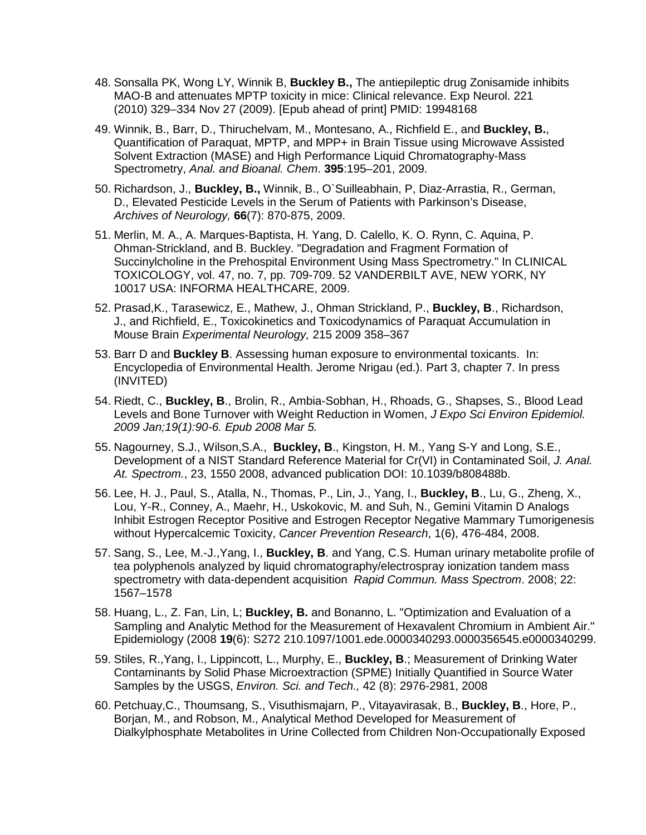- 48. Sonsalla PK, Wong LY, Winnik B, **Buckley B.,** The antiepileptic drug Zonisamide inhibits MAO-B and attenuates MPTP toxicity in mice: Clinical relevance. Exp Neurol. 221 (2010) 329–334 Nov 27 (2009). [Epub ahead of print] PMID: 19948168
- 49. Winnik, B., Barr, D., Thiruchelvam, M., Montesano, A., Richfield E., and **Buckley, B.**, Quantification of Paraquat, MPTP, and MPP+ in Brain Tissue using Microwave Assisted Solvent Extraction (MASE) and High Performance Liquid Chromatography-Mass Spectrometry, *Anal. and Bioanal. Chem*. **395**:195–201, 2009.
- 50. Richardson, J., **Buckley, B.,** Winnik, B., O`Suilleabhain, P, Diaz-Arrastia, R., German, D., Elevated Pesticide Levels in the Serum of Patients with Parkinson's Disease, *Archives of Neurology,* **66**(7): 870-875, 2009.
- 51. Merlin, M. A., A. Marques-Baptista, H. Yang, D. Calello, K. O. Rynn, C. Aquina, P. Ohman-Strickland, and B. Buckley. "Degradation and Fragment Formation of Succinylcholine in the Prehospital Environment Using Mass Spectrometry." In CLINICAL TOXICOLOGY, vol. 47, no. 7, pp. 709-709. 52 VANDERBILT AVE, NEW YORK, NY 10017 USA: INFORMA HEALTHCARE, 2009.
- 52. Prasad,K., Tarasewicz, E., Mathew, J., Ohman Strickland, P., **Buckley, B**., Richardson, J., and Richfield, E., Toxicokinetics and Toxicodynamics of Paraquat Accumulation in Mouse Brain *Experimental Neurology,* 215 2009 358–367
- 53. Barr D and **Buckley B**. Assessing human exposure to environmental toxicants. In: Encyclopedia of Environmental Health. Jerome Nrigau (ed.). Part 3, chapter 7. In press (INVITED)
- 54. Riedt, C., **Buckley, B**., Brolin, R., Ambia-Sobhan, H., Rhoads, G., Shapses, S., Blood Lead Levels and Bone Turnover with Weight Reduction in Women, *J Expo Sci Environ Epidemiol. 2009 Jan;19(1):90-6. Epub 2008 Mar 5.*
- 55. Nagourney, S.J., Wilson,S.A., **Buckley, B**., Kingston, H. M., Yang S-Y and Long, S.E., Development of a NIST Standard Reference Material for Cr(VI) in Contaminated Soil, *J. Anal. At. Spectrom.*, 23, 1550 2008, advanced publication DOI: 10.1039/b808488b.
- 56. Lee, H. J., Paul, S., Atalla, N., Thomas, P., Lin, J., Yang, I., **Buckley, B**., Lu, G., Zheng, X., Lou, Y-R., Conney, A., Maehr, H., Uskokovic, M. and Suh, N., Gemini Vitamin D Analogs Inhibit Estrogen Receptor Positive and Estrogen Receptor Negative Mammary Tumorigenesis without Hypercalcemic Toxicity, *Cancer Prevention Research*, 1(6), 476-484, 2008.
- 57. Sang, S., Lee, M.-J.,Yang, I., **Buckley, B**. and Yang, C.S. Human urinary metabolite profile of tea polyphenols analyzed by liquid chromatography/electrospray ionization tandem mass spectrometry with data-dependent acquisition *Rapid Commun. Mass Spectrom*. 2008; 22: 1567–1578
- 58. Huang, L., Z. Fan, Lin, L; **Buckley, B.** and Bonanno, L. "Optimization and Evaluation of a Sampling and Analytic Method for the Measurement of Hexavalent Chromium in Ambient Air." Epidemiology (2008 **19**(6): S272 210.1097/1001.ede.0000340293.0000356545.e0000340299.
- 59. Stiles, R.,Yang, I., Lippincott, L., Murphy, E., **Buckley, B**.; Measurement of Drinking Water Contaminants by Solid Phase Microextraction (SPME) Initially Quantified in Source Water Samples by the USGS, *Environ. Sci. and Tech.,* 42 (8): 2976-2981, 2008
- 60. Petchuay,C., Thoumsang, S., Visuthismajarn, P., Vitayavirasak, B., **Buckley, B**., Hore, P., Borjan, M., and Robson, M., Analytical Method Developed for Measurement of Dialkylphosphate Metabolites in Urine Collected from Children Non-Occupationally Exposed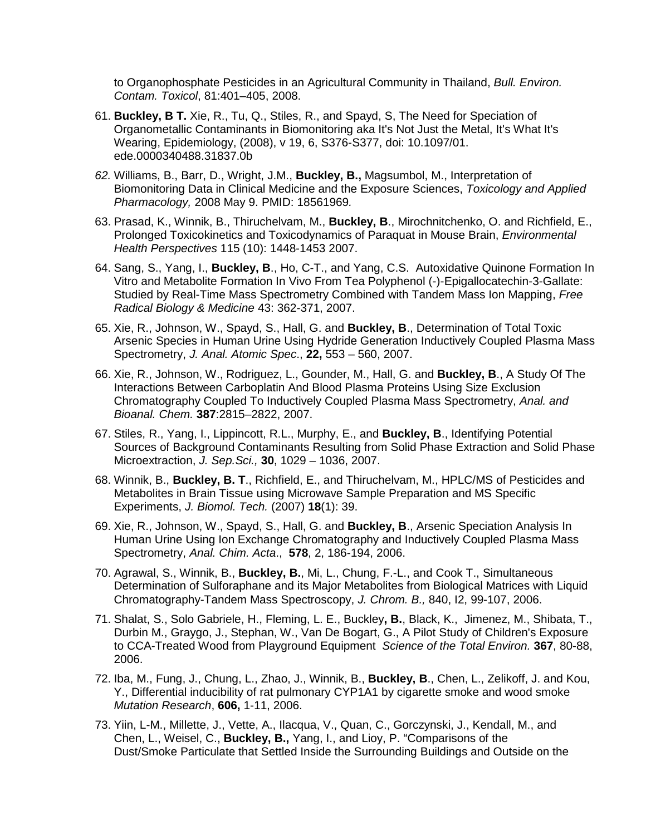to Organophosphate Pesticides in an Agricultural Community in Thailand, *Bull. Environ. Contam. Toxicol*, 81:401–405, 2008.

- 61. **Buckley, B T.** Xie, R., Tu, Q., Stiles, R., and Spayd, S, The Need for Speciation of Organometallic Contaminants in Biomonitoring aka It's Not Just the Metal, It's What It's Wearing, Epidemiology, (2008), v 19, 6, S376-S377, doi: 10.1097/01. ede.0000340488.31837.0b
- *62.* Williams, B., Barr, D., Wright, J.M., **Buckley, B.,** Magsumbol, M., Interpretation of Biomonitoring Data in Clinical Medicine and the Exposure Sciences, *Toxicology and Applied Pharmacology,* 2008 May 9. PMID: 18561969*.*
- 63. Prasad, K., Winnik, B., Thiruchelvam, M., **Buckley, B**., Mirochnitchenko, O. and Richfield, E., Prolonged Toxicokinetics and Toxicodynamics of Paraquat in Mouse Brain, *Environmental Health Perspectives* 115 (10): 1448-1453 2007.
- 64. Sang, S., Yang, I., **Buckley, B**., Ho, C-T., and Yang, C.S. Autoxidative Quinone Formation In Vitro and Metabolite Formation In Vivo From Tea Polyphenol (-)-Epigallocatechin-3-Gallate: Studied by Real-Time Mass Spectrometry Combined with Tandem Mass Ion Mapping, *Free Radical Biology & Medicine* 43: 362-371, 2007.
- 65. Xie, R., Johnson, W., Spayd, S., Hall, G. and **Buckley, B**., Determination of Total Toxic Arsenic Species in Human Urine Using Hydride Generation Inductively Coupled Plasma Mass Spectrometry, *J. Anal. Atomic Spec*., **22,** 553 – 560, 2007.
- 66. Xie, R., Johnson, W., Rodriguez, L., Gounder, M., Hall, G. and **Buckley, B**., A Study Of The Interactions Between Carboplatin And Blood Plasma Proteins Using Size Exclusion Chromatography Coupled To Inductively Coupled Plasma Mass Spectrometry, *Anal. and Bioanal. Chem.* **387**:2815–2822, 2007.
- 67. Stiles, R., Yang, I., Lippincott, R.L., Murphy, E., and **Buckley, B**., Identifying Potential Sources of Background Contaminants Resulting from Solid Phase Extraction and Solid Phase Microextraction, *J. Sep.Sci.,* **30**, 1029 – 1036, 2007.
- 68. Winnik, B., **Buckley, B. T**., Richfield, E., and Thiruchelvam, M., HPLC/MS of Pesticides and Metabolites in Brain Tissue using Microwave Sample Preparation and MS Specific Experiments, *J. Biomol. Tech.* (2007) **18**(1): 39.
- 69. Xie, R., Johnson, W., Spayd, S., Hall, G. and **Buckley, B**., Arsenic Speciation Analysis In Human Urine Using Ion Exchange Chromatography and Inductively Coupled Plasma Mass Spectrometry, *Anal. Chim. Acta*., **[578](http://www.sciencedirect.com/science?_ob=PublicationURL&_tockey=%23TOC%235216%232006%23994219997%23633595%23FLA%23&_cdi=5216&_pubType=J&view=c&_auth=y&_acct=C000023759&_version=1&_urlVersion=0&_userid=526750&md5=78a3887ae0fd052ac5a132793823bb67)**, 2, 186-194, 2006.
- 70. Agrawal, S., Winnik, B., **Buckley, B.**, Mi, L., Chung, F.-L., and Cook T., Simultaneous Determination of Sulforaphane and its Major Metabolites from Biological Matrices with Liquid Chromatography-Tandem Mass Spectroscopy, *J. Chrom. B.,* 840, I2, 99-107, 2006.
- 71. Shalat, S., Solo Gabriele, H., Fleming, L. E., Buckley**, B.**, Black, K., Jimenez, M., Shibata, T., Durbin M., Graygo, J., Stephan, W., Van De Bogart, G., A Pilot Study of Children's Exposure to CCA-Treated Wood from Playground Equipment *Science of the Total Environ.* **367**, 80-88, 2006.
- 72. Iba, M., Fung, J., Chung, L., Zhao, J., Winnik, B., **Buckley, B**., Chen, L., Zelikoff, J. and Kou, Y., Differential inducibility of rat pulmonary CYP1A1 by cigarette smoke and wood smoke *Mutation Research*, **606,** 1-11, 2006.
- 73. Yiin, L-M., Millette, J., Vette, A., Ilacqua, V., Quan, C., Gorczynski, J., Kendall, M., and Chen, L., Weisel, C., **Buckley, B.,** Yang, I., and Lioy, P. "Comparisons of the Dust/Smoke Particulate that Settled Inside the Surrounding Buildings and Outside on the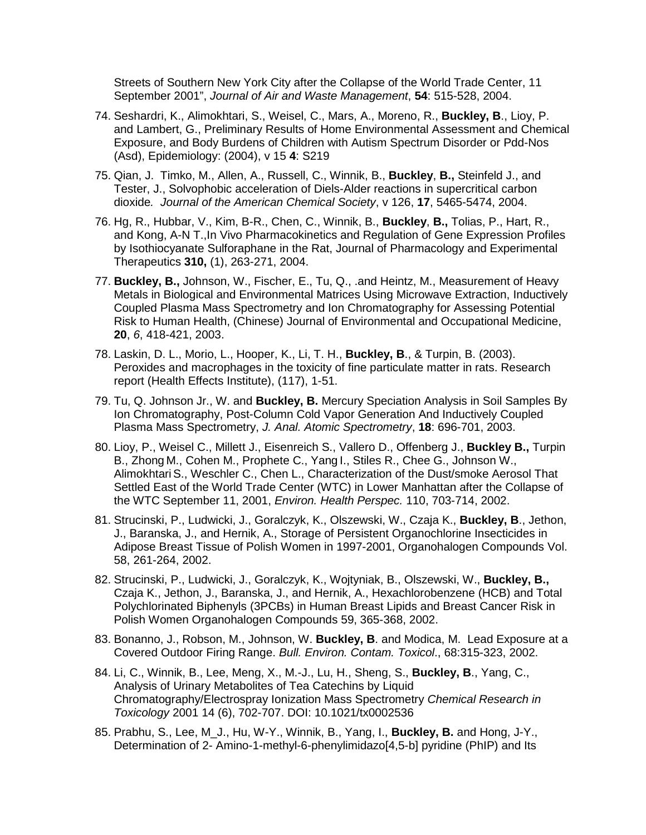Streets of Southern New York City after the Collapse of the World Trade Center, 11 September 2001", *Journal of Air and Waste Management*, **54**: 515-528, 2004.

- 74. Seshardri, K., Alimokhtari, S., Weisel, C., Mars, A., Moreno, R., **Buckley, B**., Lioy, P. and Lambert, G., Preliminary Results of Home Environmental Assessment and Chemical Exposure, and Body Burdens of Children with Autism Spectrum Disorder or Pdd-Nos (Asd), Epidemiology: (2004), v 15 **4**: S219
- 75. Qian, J. Timko, M., Allen, A., Russell, C., Winnik, B., **Buckley**, **B.,** Steinfeld J., and Tester, J., Solvophobic acceleration of Diels-Alder reactions in supercritical carbon dioxide*. Journal of the American Chemical Society*, v 126, **17**, 5465-5474, 2004.
- 76. Hg, R., Hubbar, V., Kim, B-R., Chen, C., Winnik, B., **Buckley**, **B.,** Tolias, P., Hart, R., and Kong, A-N T.,In Vivo Pharmacokinetics and Regulation of Gene Expression Profiles by Isothiocyanate Sulforaphane in the Rat, Journal of Pharmacology and Experimental Therapeutics **310,** (1), 263-271, 2004.
- 77. **Buckley, B.,** Johnson, W., Fischer, E., Tu, Q., .and Heintz, M., Measurement of Heavy Metals in Biological and Environmental Matrices Using Microwave Extraction, Inductively Coupled Plasma Mass Spectrometry and Ion Chromatography for Assessing Potential Risk to Human Health, (Chinese) Journal of Environmental and Occupational Medicine, **20**, *6*, 418-421, 2003.
- 78. Laskin, D. L., Morio, L., Hooper, K., Li, T. H., **Buckley, B**., & Turpin, B. (2003). Peroxides and macrophages in the toxicity of fine particulate matter in rats. Research report (Health Effects Institute), (117), 1-51.
- 79. Tu, Q. Johnson Jr., W. and **Buckley, B.** Mercury Speciation Analysis in Soil Samples By Ion Chromatography, Post-Column Cold Vapor Generation And Inductively Coupled Plasma Mass Spectrometry, *J. Anal. Atomic Spectrometry*, **18**: 696-701, 2003.
- 80. Lioy, P., Weisel C., Millett J., Eisenreich S., Vallero D., Offenberg J., **Buckley B.,** Turpin B., Zhong M., Cohen M., Prophete C., Yang I., Stiles R., Chee G., Johnson W., AlimokhtariS., Weschler C., Chen L., Characterization of the Dust/smoke Aerosol That Settled East of the World Trade Center (WTC) in Lower Manhattan after the Collapse of the WTC September 11, 2001, *Environ. Health Perspec.* 110, 703-714, 2002.
- 81. Strucinski, P., Ludwicki, J., Goralczyk, K., Olszewski, W., Czaja K., **Buckley, B**., Jethon, J., Baranska, J., and Hernik, A., Storage of Persistent Organochlorine Insecticides in Adipose Breast Tissue of Polish Women in 1997-2001, Organohalogen Compounds Vol. 58, 261-264, 2002.
- 82. Strucinski, P., Ludwicki, J., Goralczyk, K., Wojtyniak, B., Olszewski, W., **Buckley, B.,** Czaja K., Jethon, J., Baranska, J., and Hernik, A., Hexachlorobenzene (HCB) and Total Polychlorinated Biphenyls (3PCBs) in Human Breast Lipids and Breast Cancer Risk in Polish Women Organohalogen Compounds 59, 365-368, 2002.
- 83. Bonanno, J., Robson, M., Johnson, W. **Buckley, B**. and Modica, M. Lead Exposure at a Covered Outdoor Firing Range. *Bull. Environ. Contam. Toxicol*., 68:315-323, 2002.
- 84. Li, C., Winnik, B., Lee, Meng, X., M.-J., Lu, H., Sheng, S., **Buckley, B**., Yang, C., Analysis of Urinary Metabolites of Tea Catechins by Liquid Chromatography/Electrospray Ionization Mass Spectrometry *Chemical Research in Toxicology* 2001 14 (6), 702-707. DOI: 10.1021/tx0002536
- 85. Prabhu, S., Lee, M\_J., Hu, W-Y., Winnik, B., Yang, I., **Buckley, B.** and Hong, J-Y., Determination of 2- Amino-1-methyl-6-phenylimidazo[4,5-b] pyridine (PhIP) and Its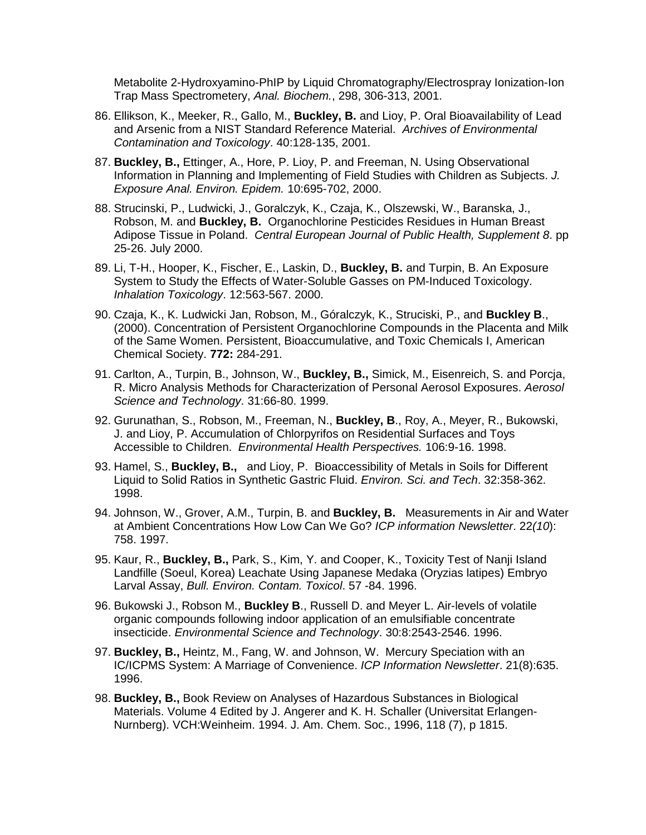Metabolite 2-Hydroxyamino-PhIP by Liquid Chromatography/Electrospray Ionization-Ion Trap Mass Spectrometery, *Anal. Biochem.*, 298, 306-313, 2001.

- 86. Ellikson, K., Meeker, R., Gallo, M., **Buckley, B.** and Lioy, P. Oral Bioavailability of Lead and Arsenic from a NIST Standard Reference Material. *Archives of Environmental Contamination and Toxicology*. 40:128-135, 2001.
- 87. **Buckley, B.,** Ettinger, A., Hore, P. Lioy, P. and Freeman, N. Using Observational Information in Planning and Implementing of Field Studies with Children as Subjects. *J. Exposure Anal. Environ. Epidem.* 10:695-702, 2000.
- 88. Strucinski, P., Ludwicki, J., Goralczyk, K., Czaja, K., Olszewski, W., Baranska, J., Robson, M. and **Buckley, B.** Organochlorine Pesticides Residues in Human Breast Adipose Tissue in Poland. *Central European Journal of Public Health, Supplement 8*. pp 25-26. July 2000.
- 89. Li, T-H., Hooper, K., Fischer, E., Laskin, D., **Buckley, B.** and Turpin, B. An Exposure System to Study the Effects of Water-Soluble Gasses on PM-Induced Toxicology. *Inhalation Toxicology*. 12:563-567. 2000.
- 90. Czaja, K., K. Ludwicki Jan, Robson, M., Góralczyk, K., Struciski, P., and **Buckley B**., (2000). Concentration of Persistent Organochlorine Compounds in the Placenta and Milk of the Same Women. Persistent, Bioaccumulative, and Toxic Chemicals I, American Chemical Society. **772:** 284-291.
- 91. Carlton, A., Turpin, B., Johnson, W., **Buckley, B.,** Simick, M., Eisenreich, S. and Porcja, R. Micro Analysis Methods for Characterization of Personal Aerosol Exposures. *Aerosol Science and Technology*. 31:66-80. 1999.
- 92. Gurunathan, S., Robson, M., Freeman, N., **Buckley, B**., Roy, A., Meyer, R., Bukowski, J. and Lioy, P. Accumulation of Chlorpyrifos on Residential Surfaces and Toys Accessible to Children. *Environmental Health Perspectives.* 106:9-16. 1998.
- 93. Hamel, S., **Buckley, B.,** and Lioy, P. Bioaccessibility of Metals in Soils for Different Liquid to Solid Ratios in Synthetic Gastric Fluid. *Environ. Sci. and Tech*. 32:358-362. 1998.
- 94. Johnson, W., Grover, A.M., Turpin, B. and **Buckley, B.** Measurements in Air and Water at Ambient Concentrations How Low Can We Go? *ICP information Newsletter*. 22*(10*): 758. 1997.
- 95. Kaur, R., **Buckley, B.,** Park, S., Kim, Y. and Cooper, K., Toxicity Test of Nanji Island Landfille (Soeul, Korea) Leachate Using Japanese Medaka (Oryzias latipes) Embryo Larval Assay, *Bull. Environ. Contam. Toxicol*. 57 -84. 1996.
- 96. Bukowski J., Robson M., **Buckley B**., Russell D. and Meyer L. Air-levels of volatile organic compounds following indoor application of an emulsifiable concentrate insecticide. *Environmental Science and Technology*. 30:8:2543-2546. 1996.
- 97. **Buckley, B.,** Heintz, M., Fang, W. and Johnson, W. Mercury Speciation with an IC/ICPMS System: A Marriage of Convenience. *ICP Information Newsletter*. 21(8):635. 1996.
- 98. **Buckley, B.,** Book Review on Analyses of Hazardous Substances in Biological Materials. Volume 4 Edited by J. Angerer and K. H. Schaller (Universitat Erlangen-Nurnberg). VCH:Weinheim. 1994. J. Am. Chem. Soc., 1996, 118 (7), p 1815.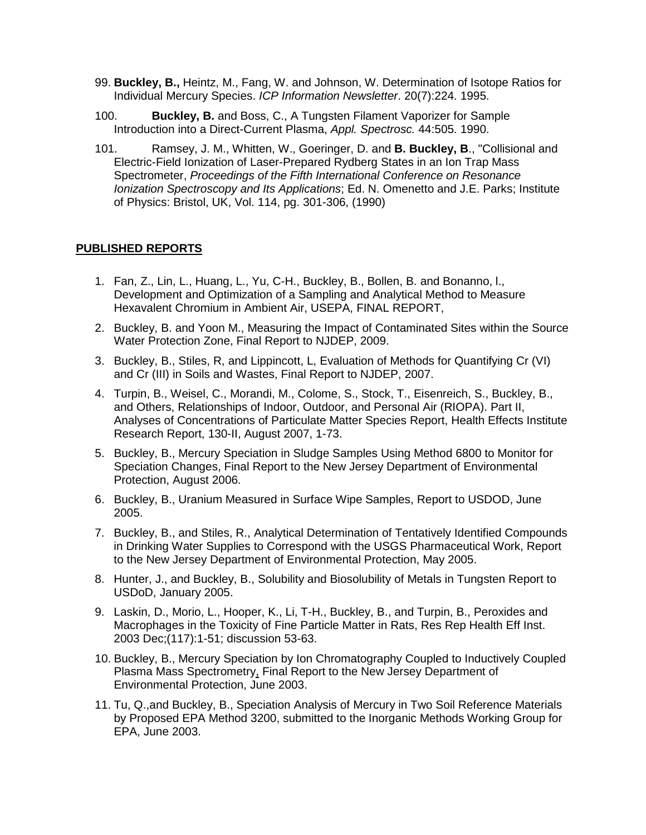- 99. **Buckley, B.,** Heintz, M., Fang, W. and Johnson, W. Determination of Isotope Ratios for Individual Mercury Species. *ICP Information Newsletter*. 20(7):224. 1995.
- 100. **Buckley, B.** and Boss, C., A Tungsten Filament Vaporizer for Sample Introduction into a Direct-Current Plasma, *Appl. Spectrosc.* 44:505. 1990.
- 101. Ramsey, J. M., Whitten, W., Goeringer, D. and **B. Buckley, B**., "Collisional and Electric-Field Ionization of Laser-Prepared Rydberg States in an Ion Trap Mass Spectrometer, *Proceedings of the Fifth International Conference on Resonance Ionization Spectroscopy and Its Applications*; Ed. N. Omenetto and J.E. Parks; Institute of Physics: Bristol, UK, Vol. 114, pg. 301-306, (1990)

## **PUBLISHED REPORTS**

- 1. Fan, Z., Lin, L., Huang, L., Yu, C-H., Buckley, B., Bollen, B. and Bonanno, l., Development and Optimization of a Sampling and Analytical Method to Measure Hexavalent Chromium in Ambient Air, USEPA, FINAL REPORT,
- 2. Buckley, B. and Yoon M., Measuring the Impact of Contaminated Sites within the Source Water Protection Zone, Final Report to NJDEP, 2009.
- 3. Buckley, B., Stiles, R, and Lippincott, L, Evaluation of Methods for Quantifying Cr (VI) and Cr (III) in Soils and Wastes, Final Report to NJDEP, 2007.
- 4. Turpin, B., Weisel, C., Morandi, M., Colome, S., Stock, T., Eisenreich, S., Buckley, B., and Others, Relationships of Indoor, Outdoor, and Personal Air (RIOPA). Part II, Analyses of Concentrations of Particulate Matter Species Report, Health Effects Institute Research Report, 130-II, August 2007, 1-73.
- 5. Buckley, B., Mercury Speciation in Sludge Samples Using Method 6800 to Monitor for Speciation Changes, Final Report to the New Jersey Department of Environmental Protection, August 2006.
- 6. Buckley, B., Uranium Measured in Surface Wipe Samples, Report to USDOD, June 2005.
- 7. Buckley, B., and Stiles, R., Analytical Determination of Tentatively Identified Compounds in Drinking Water Supplies to Correspond with the USGS Pharmaceutical Work, Report to the New Jersey Department of Environmental Protection, May 2005.
- 8. Hunter, J., and Buckley, B., Solubility and Biosolubility of Metals in Tungsten Report to USDoD, January 2005.
- 9. Laskin, D., Morio, L., Hooper, K., Li, T-H., Buckley, B., and Turpin, B., Peroxides and Macrophages in the Toxicity of Fine Particle Matter in Rats, Res Rep Health Eff Inst. 2003 Dec;(117):1-51; discussion 53-63.
- 10. Buckley, B., Mercury Speciation by Ion Chromatography Coupled to Inductively Coupled Plasma Mass Spectrometry, Final Report to the New Jersey Department of Environmental Protection, June 2003.
- 11. Tu, Q.,and Buckley, B., Speciation Analysis of Mercury in Two Soil Reference Materials by Proposed EPA Method 3200, submitted to the Inorganic Methods Working Group for EPA, June 2003.